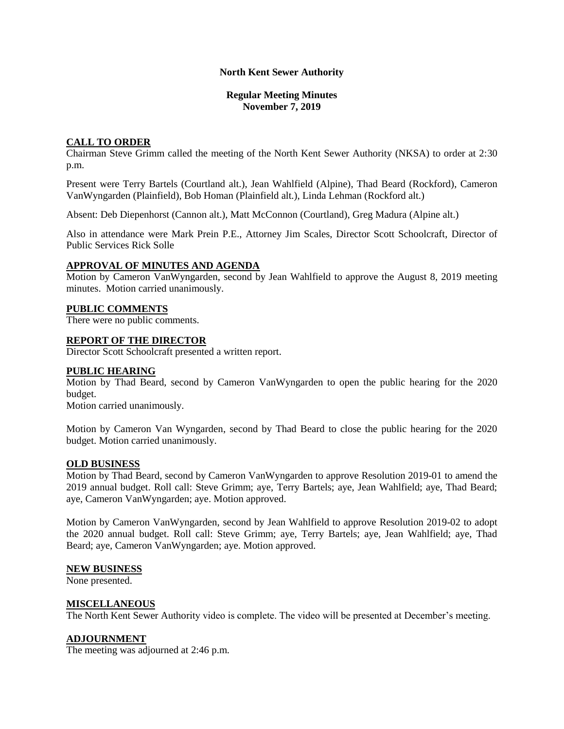### **North Kent Sewer Authority**

### **Regular Meeting Minutes November 7, 2019**

## **CALL TO ORDER**

Chairman Steve Grimm called the meeting of the North Kent Sewer Authority (NKSA) to order at 2:30 p.m.

Present were Terry Bartels (Courtland alt.), Jean Wahlfield (Alpine), Thad Beard (Rockford), Cameron VanWyngarden (Plainfield), Bob Homan (Plainfield alt.), Linda Lehman (Rockford alt.)

Absent: Deb Diepenhorst (Cannon alt.), Matt McConnon (Courtland), Greg Madura (Alpine alt.)

Also in attendance were Mark Prein P.E., Attorney Jim Scales, Director Scott Schoolcraft, Director of Public Services Rick Solle

## **APPROVAL OF MINUTES AND AGENDA**

Motion by Cameron VanWyngarden, second by Jean Wahlfield to approve the August 8, 2019 meeting minutes. Motion carried unanimously.

### **PUBLIC COMMENTS**

There were no public comments.

#### **REPORT OF THE DIRECTOR**

Director Scott Schoolcraft presented a written report.

#### **PUBLIC HEARING**

Motion by Thad Beard, second by Cameron VanWyngarden to open the public hearing for the 2020 budget.

Motion carried unanimously.

Motion by Cameron Van Wyngarden, second by Thad Beard to close the public hearing for the 2020 budget. Motion carried unanimously.

#### **OLD BUSINESS**

Motion by Thad Beard, second by Cameron VanWyngarden to approve Resolution 2019-01 to amend the 2019 annual budget. Roll call: Steve Grimm; aye, Terry Bartels; aye, Jean Wahlfield; aye, Thad Beard; aye, Cameron VanWyngarden; aye. Motion approved.

Motion by Cameron VanWyngarden, second by Jean Wahlfield to approve Resolution 2019-02 to adopt the 2020 annual budget. Roll call: Steve Grimm; aye, Terry Bartels; aye, Jean Wahlfield; aye, Thad Beard; aye, Cameron VanWyngarden; aye. Motion approved.

#### **NEW BUSINESS**

None presented.

#### **MISCELLANEOUS**

The North Kent Sewer Authority video is complete. The video will be presented at December's meeting.

## **ADJOURNMENT**

The meeting was adjourned at 2:46 p.m.